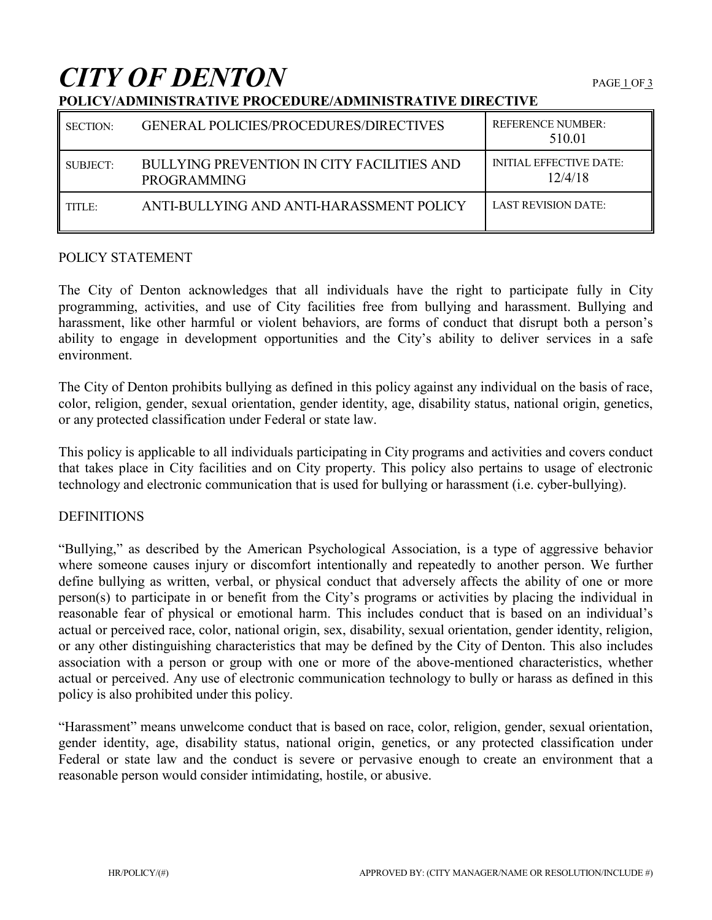# **CITY OF DENTON**

| SECTION: | <b>GENERAL POLICIES/PROCEDURES/DIRECTIVES</b>                    | <b>REFERENCE NUMBER:</b><br>510.01        |
|----------|------------------------------------------------------------------|-------------------------------------------|
| SUBJECT: | BULLYING PREVENTION IN CITY FACILITIES AND<br><b>PROGRAMMING</b> | <b>INITIAL EFFECTIVE DATE:</b><br>12/4/18 |
| TITLE:   | ANTI-BULLYING AND ANTI-HARASSMENT POLICY                         | LAST REVISION DATE:                       |

## **POLICY/ADMINISTRATIVE PROCEDURE/ADMINISTRATIVE DIRECTIVE**

### POLICY STATEMENT

The City of Denton acknowledges that all individuals have the right to participate fully in City programming, activities, and use of City facilities free from bullying and harassment. Bullying and harassment, like other harmful or violent behaviors, are forms of conduct that disrupt both a person's ability to engage in development opportunities and the City's ability to deliver services in a safe environment.

The City of Denton prohibits bullying as defined in this policy against any individual on the basis of race, color, religion, gender, sexual orientation, gender identity, age, disability status, national origin, genetics, or any protected classification under Federal or state law.

This policy is applicable to all individuals participating in City programs and activities and covers conduct that takes place in City facilities and on City property. This policy also pertains to usage of electronic technology and electronic communication that is used for bullying or harassment (i.e. cyber-bullying).

### **DEFINITIONS**

"Bullying," as described by the American Psychological Association, is a type of aggressive behavior where someone causes injury or discomfort intentionally and repeatedly to another person. We further define bullying as written, verbal, or physical conduct that adversely affects the ability of one or more person(s) to participate in or benefit from the City's programs or activities by placing the individual in reasonable fear of physical or emotional harm. This includes conduct that is based on an individual's actual or perceived race, color, national origin, sex, disability, sexual orientation, gender identity, religion, or any other distinguishing characteristics that may be defined by the City of Denton. This also includes association with a person or group with one or more of the above-mentioned characteristics, whether actual or perceived. Any use of electronic communication technology to bully or harass as defined in this policy is also prohibited under this policy.

"Harassment" means unwelcome conduct that is based on race, color, religion, gender, sexual orientation, gender identity, age, disability status, national origin, genetics, or any protected classification under Federal or state law and the conduct is severe or pervasive enough to create an environment that a reasonable person would consider intimidating, hostile, or abusive.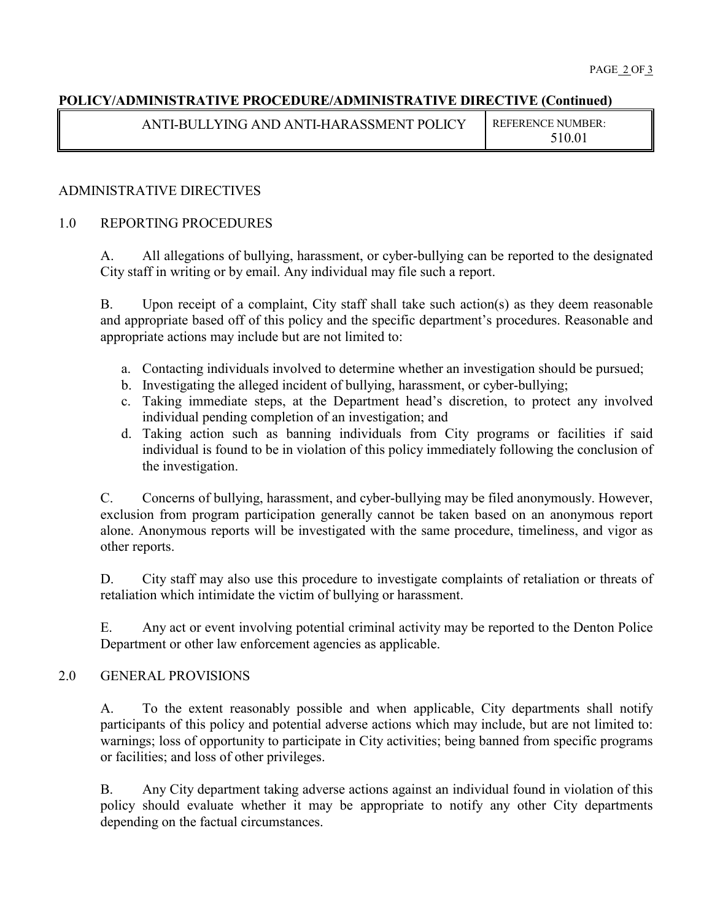## **POLICY/ADMINISTRATIVE PROCEDURE/ADMINISTRATIVE DIRECTIVE (Continued)**

| ANTI-BULLYING AND ANTI-HARASSMENT POLICY | <b>REFERENCE NUMBER:</b> |
|------------------------------------------|--------------------------|
|                                          | 510.01                   |

## ADMINISTRATIVE DIRECTIVES

## 1.0 REPORTING PROCEDURES

A. All allegations of bullying, harassment, or cyber-bullying can be reported to the designated City staff in writing or by email. Any individual may file such a report.

B. Upon receipt of a complaint, City staff shall take such action(s) as they deem reasonable and appropriate based off of this policy and the specific department's procedures. Reasonable and appropriate actions may include but are not limited to:

- a. Contacting individuals involved to determine whether an investigation should be pursued;
- b. Investigating the alleged incident of bullying, harassment, or cyber-bullying;
- c. Taking immediate steps, at the Department head's discretion, to protect any involved individual pending completion of an investigation; and
- d. Taking action such as banning individuals from City programs or facilities if said individual is found to be in violation of this policy immediately following the conclusion of the investigation.

C. Concerns of bullying, harassment, and cyber-bullying may be filed anonymously. However, exclusion from program participation generally cannot be taken based on an anonymous report alone. Anonymous reports will be investigated with the same procedure, timeliness, and vigor as other reports.

D. City staff may also use this procedure to investigate complaints of retaliation or threats of retaliation which intimidate the victim of bullying or harassment.

E. Any act or event involving potential criminal activity may be reported to the Denton Police Department or other law enforcement agencies as applicable.

### 2.0 GENERAL PROVISIONS

A. To the extent reasonably possible and when applicable, City departments shall notify participants of this policy and potential adverse actions which may include, but are not limited to: warnings; loss of opportunity to participate in City activities; being banned from specific programs or facilities; and loss of other privileges.

B. Any City department taking adverse actions against an individual found in violation of this policy should evaluate whether it may be appropriate to notify any other City departments depending on the factual circumstances.